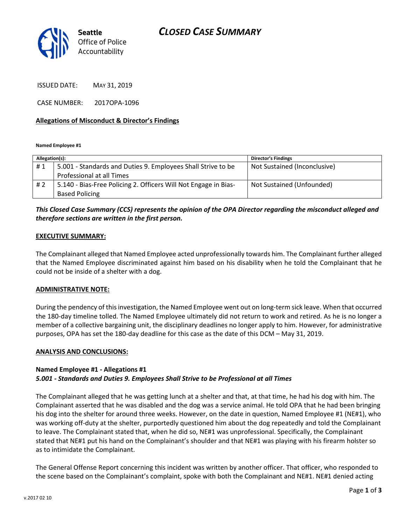

ISSUED DATE: MAY 31, 2019

CASE NUMBER: 2017OPA-1096

## Allegations of Misconduct & Director's Findings

Named Employee #1

| Allegation(s): |                                                                 | <b>Director's Findings</b>   |
|----------------|-----------------------------------------------------------------|------------------------------|
| #1             | 5.001 - Standards and Duties 9. Employees Shall Strive to be    | Not Sustained (Inconclusive) |
|                | Professional at all Times                                       |                              |
| #2             | 5.140 - Bias-Free Policing 2. Officers Will Not Engage in Bias- | Not Sustained (Unfounded)    |
|                | <b>Based Policing</b>                                           |                              |

# This Closed Case Summary (CCS) represents the opinion of the OPA Director regarding the misconduct alleged and therefore sections are written in the first person.

### EXECUTIVE SUMMARY:

The Complainant alleged that Named Employee acted unprofessionally towards him. The Complainant further alleged that the Named Employee discriminated against him based on his disability when he told the Complainant that he could not be inside of a shelter with a dog.

#### ADMINISTRATIVE NOTE:

During the pendency of this investigation, the Named Employee went out on long-term sick leave. When that occurred the 180-day timeline tolled. The Named Employee ultimately did not return to work and retired. As he is no longer a member of a collective bargaining unit, the disciplinary deadlines no longer apply to him. However, for administrative purposes, OPA has set the 180-day deadline for this case as the date of this DCM – May 31, 2019.

#### ANALYSIS AND CONCLUSIONS:

# Named Employee #1 - Allegations #1 5.001 - Standards and Duties 9. Employees Shall Strive to be Professional at all Times

The Complainant alleged that he was getting lunch at a shelter and that, at that time, he had his dog with him. The Complainant asserted that he was disabled and the dog was a service animal. He told OPA that he had been bringing his dog into the shelter for around three weeks. However, on the date in question, Named Employee #1 (NE#1), who was working off-duty at the shelter, purportedly questioned him about the dog repeatedly and told the Complainant to leave. The Complainant stated that, when he did so, NE#1 was unprofessional. Specifically, the Complainant stated that NE#1 put his hand on the Complainant's shoulder and that NE#1 was playing with his firearm holster so as to intimidate the Complainant.

The General Offense Report concerning this incident was written by another officer. That officer, who responded to the scene based on the Complainant's complaint, spoke with both the Complainant and NE#1. NE#1 denied acting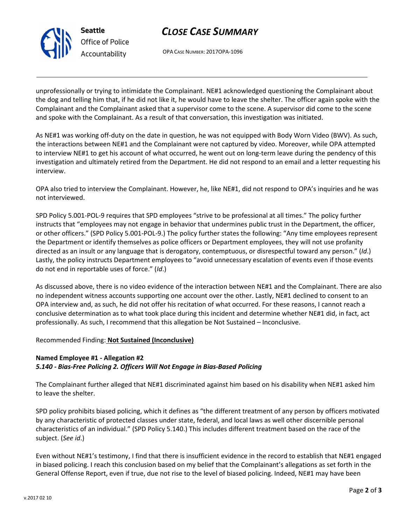OPA CASE NUMBER: 2017OPA-1096

unprofessionally or trying to intimidate the Complainant. NE#1 acknowledged questioning the Complainant about the dog and telling him that, if he did not like it, he would have to leave the shelter. The officer again spoke with the Complainant and the Complainant asked that a supervisor come to the scene. A supervisor did come to the scene and spoke with the Complainant. As a result of that conversation, this investigation was initiated.

As NE#1 was working off-duty on the date in question, he was not equipped with Body Worn Video (BWV). As such, the interactions between NE#1 and the Complainant were not captured by video. Moreover, while OPA attempted to interview NE#1 to get his account of what occurred, he went out on long-term leave during the pendency of this investigation and ultimately retired from the Department. He did not respond to an email and a letter requesting his interview.

OPA also tried to interview the Complainant. However, he, like NE#1, did not respond to OPA's inquiries and he was not interviewed.

SPD Policy 5.001-POL-9 requires that SPD employees "strive to be professional at all times." The policy further instructs that "employees may not engage in behavior that undermines public trust in the Department, the officer, or other officers." (SPD Policy 5.001-POL-9.) The policy further states the following: "Any time employees represent the Department or identify themselves as police officers or Department employees, they will not use profanity directed as an insult or any language that is derogatory, contemptuous, or disrespectful toward any person." (Id.) Lastly, the policy instructs Department employees to "avoid unnecessary escalation of events even if those events do not end in reportable uses of force." (Id.)

As discussed above, there is no video evidence of the interaction between NE#1 and the Complainant. There are also no independent witness accounts supporting one account over the other. Lastly, NE#1 declined to consent to an OPA interview and, as such, he did not offer his recitation of what occurred. For these reasons, I cannot reach a conclusive determination as to what took place during this incident and determine whether NE#1 did, in fact, act professionally. As such, I recommend that this allegation be Not Sustained – Inconclusive.

## Recommended Finding: Not Sustained (Inconclusive)

Seattle

Office of Police Accountability

## Named Employee #1 - Allegation #2 5.140 - Bias-Free Policing 2. Officers Will Not Engage in Bias-Based Policing

The Complainant further alleged that NE#1 discriminated against him based on his disability when NE#1 asked him to leave the shelter.

SPD policy prohibits biased policing, which it defines as "the different treatment of any person by officers motivated by any characteristic of protected classes under state, federal, and local laws as well other discernible personal characteristics of an individual." (SPD Policy 5.140.) This includes different treatment based on the race of the subject. (See id.)

Even without NE#1's testimony, I find that there is insufficient evidence in the record to establish that NE#1 engaged in biased policing. I reach this conclusion based on my belief that the Complainant's allegations as set forth in the General Offense Report, even if true, due not rise to the level of biased policing. Indeed, NE#1 may have been